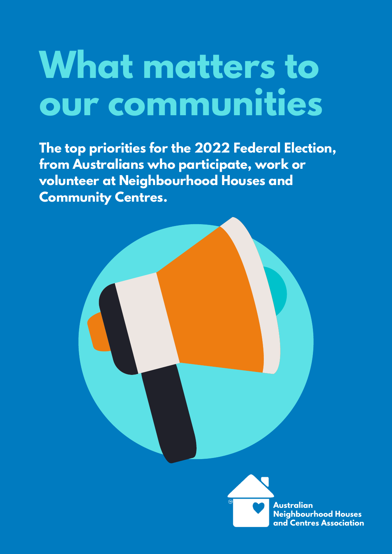# **What matters to our communities**

**The top priorities for the 2022 Federal Election, from Australians who participate, work or volunteer at Neighbourhood Houses and Community Centres.**



**Neighbourhood Houses and Centres Association**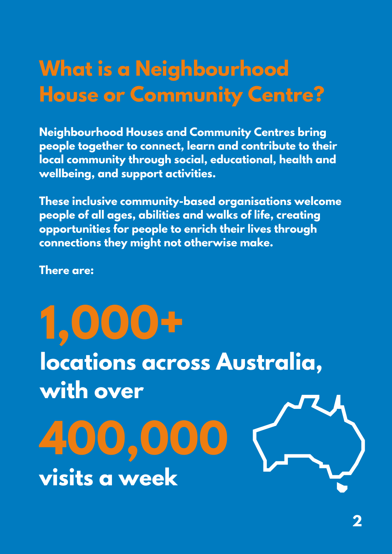### **What is a Neighbourhood House or Community Centre?**

**Neighbourhood Houses and Community Centres bring people together to connect, learn and contribute to their local community through social, educational, health and wellbeing, and support activities.**

**These inclusive community-based organisations welcome people of all ages, abilities and walks of life, creating opportunities for people to enrich their lives through connections they might not otherwise make.**

**There are:**

**1,000+ locations across Australia, with over 400,000**

**visits a week**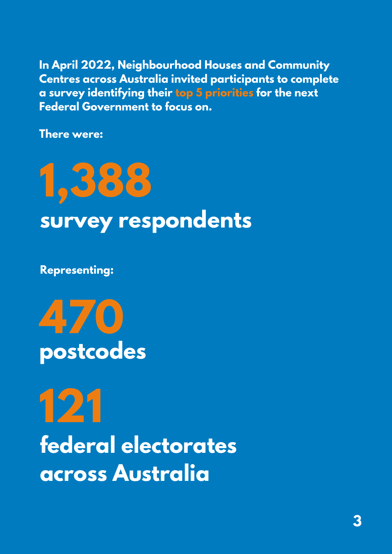**In April 2022, Neighbourhood Houses and Community Centres across Australia invited participants to complete a survey identifying their top 5 priorities for the next Federal Government to focus on.**

**There were:**

## **1,388 survey respondents**

**Representing:**



**121 federal electorates across Australia**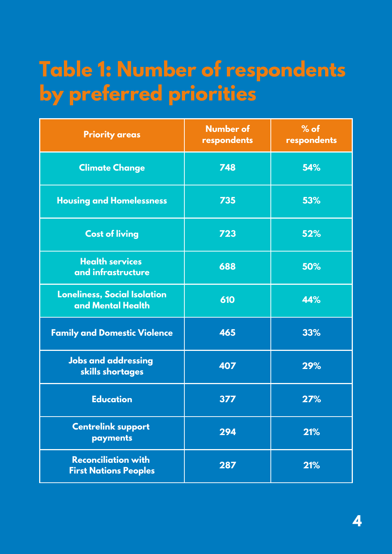### **Table 1: Number of respondents by preferred priorities**

| <b>Priority areas</b>                                      | <b>Number of</b><br>respondents | $%$ of<br>respondents |
|------------------------------------------------------------|---------------------------------|-----------------------|
| <b>Climate Change</b>                                      | 748                             | 54%                   |
| <b>Housing and Homelessness</b>                            | 735                             | 53%                   |
| <b>Cost of living</b>                                      | 723                             | 52%                   |
| <b>Health services</b><br>and infrastructure               | 688                             | 50%                   |
| <b>Loneliness, Social Isolation</b><br>and Mental Health   | 610                             | 44%                   |
| <b>Family and Domestic Violence</b>                        | 465                             | 33%                   |
| <b>Jobs and addressing</b><br>skills shortages             | 407                             | 29%                   |
| <b>Education</b>                                           | 377                             | 27%                   |
| <b>Centrelink support</b><br>payments                      | 294                             | 21%                   |
| <b>Reconciliation with</b><br><b>First Nations Peoples</b> | 287                             | 21%                   |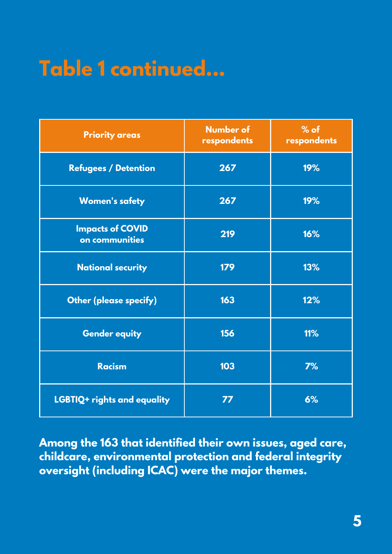## **Table 1 continued...**

| <b>Priority areas</b>                     | <b>Number of</b><br>respondents | $%$ of<br>respondents |
|-------------------------------------------|---------------------------------|-----------------------|
| <b>Refugees / Detention</b>               | 267                             | 19%                   |
| <b>Women's safety</b>                     | 267                             | 19%                   |
| <b>Impacts of COVID</b><br>on communities | 219                             | 16%                   |
| <b>National security</b>                  | 179                             | 13%                   |
| <b>Other (please specify)</b>             | 163                             | 12%                   |
| <b>Gender equity</b>                      | 156                             | 11%                   |
| <b>Racism</b>                             | 103                             | 7%                    |
| LGBTIQ+ rights and equality               | 77                              | 6%                    |

**Among the 163 that identified their own issues, aged care, childcare, environmental protection and federal integrity oversight (including ICAC) were the major themes.**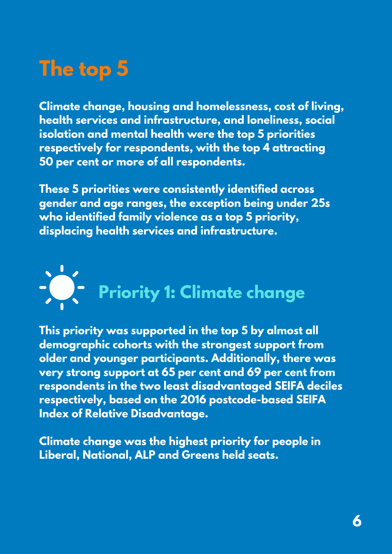## **The top 5**

**Climate change, housing and homelessness, cost of living, health services and infrastructure, and loneliness, social isolation and mental health were the top 5 priorities respectively for respondents, with the top 4 attracting 50 per cent or more of all respondents.**

**These 5 priorities were consistently identified across gender and age ranges, the exception being under 25s who identified family violence as a top 5 priority, displacing health services and infrastructure.**



**This priority was supported in the top 5 by almost all demographic cohorts with the strongest support from older and younger participants. Additionally, there was very strong support at 65 per cent and 69 per cent from respondents in the two least disadvantaged SEIFA deciles respectively, based on the 2016 postcode-based SEIFA Index of Relative Disadvantage.**

**Climate change was the highest priority for people in Liberal, National, ALP and Greens held seats.**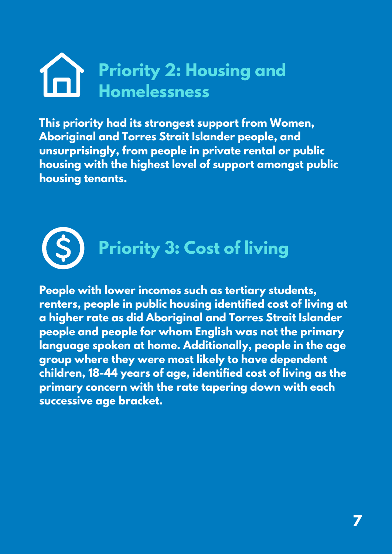## **Priority 2: Housing and Homelessness**

**This priority had its strongest support from Women, Aboriginal and Torres Strait Islander people, and unsurprisingly, from people in private rental or public housing with the highest level of support amongst public housing tenants.**



**People with lower incomes such as tertiary students, renters, people in public housing identified cost of living at a higher rate as did Aboriginal and Torres Strait Islander people and people for whom English was not the primary language spoken at home. Additionally, people in the age group where they were most likely to have dependent children, 18-44 years of age, identified cost of living as the primary concern with the rate tapering down with each successive age bracket.**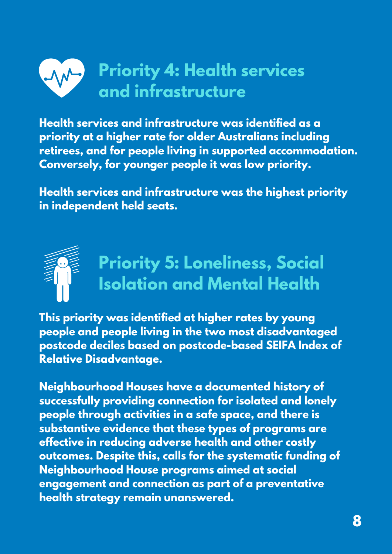

**Health services and infrastructure was identified as a priority at a higher rate for older Australians including retirees, and for people living in supported accommodation. Conversely, for younger people it was low priority.**

**Health services and infrastructure was the highest priority in independent held seats.**



**This priority was identified at higher rates by young people and people living in the two most disadvantaged postcode deciles based on postcode-based SEIFA Index of Relative Disadvantage.**

**Neighbourhood Houses have a documented history of successfully providing connection for isolated and lonely people through activities in a safe space, and there is substantive evidence that these types of programs are effective in reducing adverse health and other costly outcomes. Despite this, calls for the systematic funding of Neighbourhood House programs aimed at social engagement and connection as part of a preventative health strategy remain unanswered.**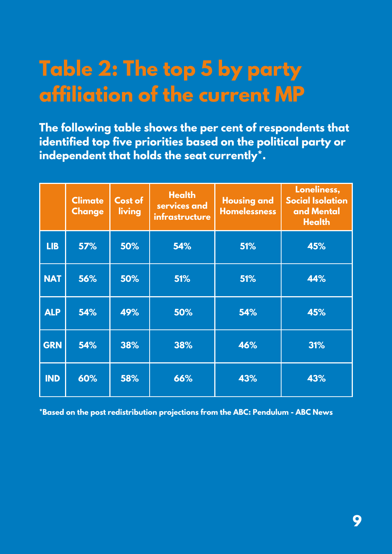### **Table 2: The top 5 by party affiliation of the current MP**

**The following table shows the per cent of respondents that identified top five priorities based on the political party or independent that holds the seat currently\*.**

|            | <b>Climate</b><br><b>Change</b> | Cost of<br>living | <b>Health</b><br>services and<br>infrastructure | <b>Housing and</b><br><b>Homelessness</b> | Loneliness,<br><b>Social Isolation</b><br>and Mental<br><b>Health</b> |
|------------|---------------------------------|-------------------|-------------------------------------------------|-------------------------------------------|-----------------------------------------------------------------------|
| <b>LIB</b> | 57%                             | 50%               | 54%                                             | 51%                                       | 45%                                                                   |
| <b>NAT</b> | 56%                             | 50%               | 51%                                             | 51%                                       | 44%                                                                   |
| <b>ALP</b> | 54%                             | 49%               | 50%                                             | 54%                                       | 45%                                                                   |
| <b>GRN</b> | 54%                             | 38%               | 38%                                             | 46%                                       | 31%                                                                   |
| <b>IND</b> | 60%                             | 58%               | 66%                                             | 43%                                       | 43%                                                                   |

**\*Based on the post redistribution projections from the ABC: [Pendulum](https://www.abc.net.au/news/elections/federal/2022/guide/pendulum) - ABC News**